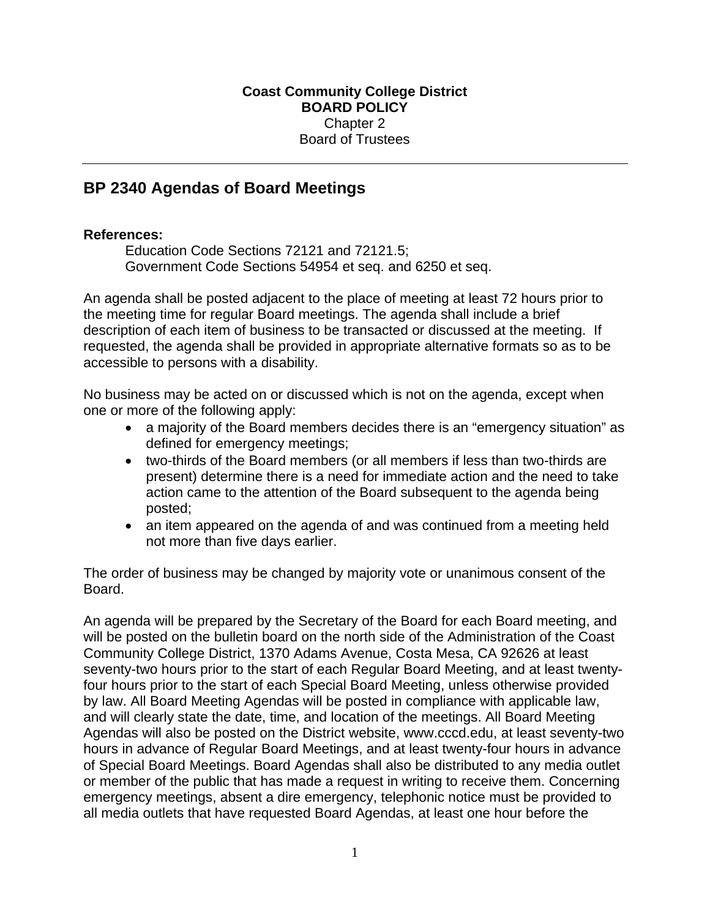## **BP 2340 Agendas of Board Meetings**

## **References:**

Education Code Sections 72121 and 72121.5; Government Code Sections 54954 et seq. and 6250 et seq.

An agenda shall be posted adjacent to the place of meeting at least 72 hours prior to the meeting time for regular Board meetings. The agenda shall include a brief description of each item of business to be transacted or discussed at the meeting. If requested, the agenda shall be provided in appropriate alternative formats so as to be accessible to persons with a disability.

No business may be acted on or discussed which is not on the agenda, except when one or more of the following apply:

- a majority of the Board members decides there is an "emergency situation" as defined for emergency meetings;
- two-thirds of the Board members (or all members if less than two-thirds are present) determine there is a need for immediate action and the need to take action came to the attention of the Board subsequent to the agenda being posted;
- an item appeared on the agenda of and was continued from a meeting held not more than five days earlier.

The order of business may be changed by majority vote or unanimous consent of the Board.

An agenda will be prepared by the Secretary of the Board for each Board meeting, and will be posted on the bulletin board on the north side of the Administration of the Coast Community College District, 1370 Adams Avenue, Costa Mesa, CA 92626 at least seventy-two hours prior to the start of each Regular Board Meeting, and at least twentyfour hours prior to the start of each Special Board Meeting, unless otherwise provided by law. All Board Meeting Agendas will be posted in compliance with applicable law, and will clearly state the date, time, and location of the meetings. All Board Meeting Agendas will also be posted on the District website, www.cccd.edu, at least seventy-two hours in advance of Regular Board Meetings, and at least twenty-four hours in advance of Special Board Meetings. Board Agendas shall also be distributed to any media outlet or member of the public that has made a request in writing to receive them. Concerning emergency meetings, absent a dire emergency, telephonic notice must be provided to all media outlets that have requested Board Agendas, at least one hour before the